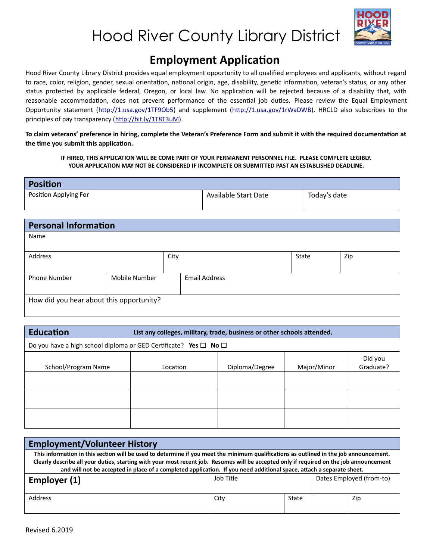



### **Employment Application**

Hood River County Library District provides equal employment opportunity to all qualified employees and applicants, without regard to race, color, religion, gender, sexual orientation, national origin, age, disability, genetic information, veteran's status, or any other status protected by applicable federal, Oregon, or local law. No application will be rejected because of a disability that, with reasonable accommodation, does not prevent performance of the essential job duties. Please review the Equal Employment Opportunity statement [\(http://1.usa.gov/1TF9Ob5](http://1.usa.gov/1TF9Ob5)) and supplement [\(http://1.usa.gov/1rWaDWB](http://1.usa.gov/1rWaDWB)). HRCLD also subscribes to the principles of pay transparency (<http://bit.ly/1T8T3uM>).

**To claim veterans' preference in hiring, complete the Veteran's Preference Form and submit it with the required documentation at the time you submit this application.**

**IF HIRED, THIS APPLICATION WILL BE COME PART OF YOUR PERMANENT PERSONNEL FILE. PLEASE COMPLETE LEGIBLY. YOUR APPLICATION MAY NOT BE CONSIDERED IF INCOMPLETE OR SUBMITTED PAST AN ESTABLISHED DEADLINE.**

| <b>Position</b>       |                      |              |
|-----------------------|----------------------|--------------|
| Position Applying For | Available Start Date | Today's date |

| <b>Personal Information</b>              |               |      |                      |       |     |
|------------------------------------------|---------------|------|----------------------|-------|-----|
| Name                                     |               |      |                      |       |     |
|                                          |               |      |                      |       |     |
| Address                                  |               | City |                      | State | Zip |
|                                          |               |      |                      |       |     |
| <b>Phone Number</b>                      | Mobile Number |      | <b>Email Address</b> |       |     |
|                                          |               |      |                      |       |     |
| How did you hear about this opportunity? |               |      |                      |       |     |
|                                          |               |      |                      |       |     |

| <b>Education</b><br>List any colleges, military, trade, business or other schools attended. |                                                                                  |                |             |                      |  |
|---------------------------------------------------------------------------------------------|----------------------------------------------------------------------------------|----------------|-------------|----------------------|--|
|                                                                                             | Do you have a high school diploma or GED Certificate? Yes $\square$ No $\square$ |                |             |                      |  |
| School/Program Name                                                                         | Location                                                                         | Diploma/Degree | Major/Minor | Did you<br>Graduate? |  |
|                                                                                             |                                                                                  |                |             |                      |  |
|                                                                                             |                                                                                  |                |             |                      |  |
|                                                                                             |                                                                                  |                |             |                      |  |

| <b>Employment/Volunteer History</b>                                                                                                                                                                                                                                                                                                                                                                       |           |       |  |                          |
|-----------------------------------------------------------------------------------------------------------------------------------------------------------------------------------------------------------------------------------------------------------------------------------------------------------------------------------------------------------------------------------------------------------|-----------|-------|--|--------------------------|
| This information in this section will be used to determine if you meet the minimum qualifications as outlined in the job announcement.<br>Clearly describe all your duties, starting with your most recent job. Resumes will be accepted only if required on the job announcement<br>and will not be accepted in place of a completed application. If you need additional space, attach a separate sheet. |           |       |  |                          |
| Employer (1)                                                                                                                                                                                                                                                                                                                                                                                              | Job Title |       |  | Dates Employed (from-to) |
| Address                                                                                                                                                                                                                                                                                                                                                                                                   | City      | State |  | Zip                      |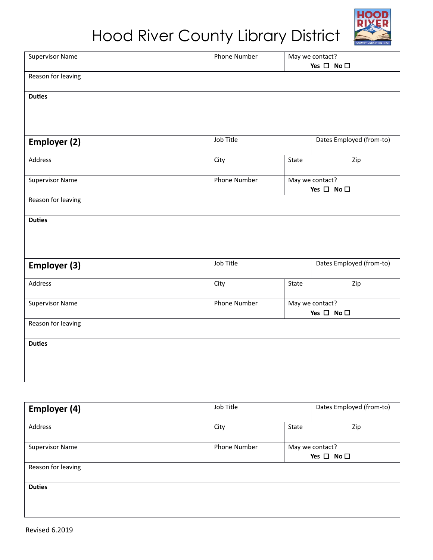# Hood River County Library District



| <b>Supervisor Name</b> | Phone Number |                                               | May we contact?            |                          |
|------------------------|--------------|-----------------------------------------------|----------------------------|--------------------------|
|                        |              |                                               | Yes $\square$ No $\square$ |                          |
| Reason for leaving     |              |                                               |                            |                          |
| <b>Duties</b>          |              |                                               |                            |                          |
|                        |              |                                               |                            |                          |
|                        |              |                                               |                            |                          |
| <b>Employer (2)</b>    | Job Title    |                                               |                            | Dates Employed (from-to) |
| Address                | City         | State                                         |                            | Zip                      |
| <b>Supervisor Name</b> | Phone Number | May we contact?<br>Yes $\square$ No $\square$ |                            |                          |
| Reason for leaving     |              |                                               |                            |                          |
| <b>Duties</b>          |              |                                               |                            |                          |
|                        |              |                                               |                            |                          |
|                        |              |                                               |                            |                          |
| <b>Employer (3)</b>    | Job Title    |                                               |                            | Dates Employed (from-to) |
| Address                | City         | State                                         |                            | Zip                      |
| <b>Supervisor Name</b> | Phone Number | May we contact?<br>Yes $\square$ No $\square$ |                            |                          |
| Reason for leaving     |              |                                               |                            |                          |
| <b>Duties</b>          |              |                                               |                            |                          |
|                        |              |                                               |                            |                          |
|                        |              |                                               |                            |                          |
|                        |              |                                               |                            |                          |

| <b>Employer (4)</b>    | Job Title                                                            |       | Dates Employed (from-to) |     |
|------------------------|----------------------------------------------------------------------|-------|--------------------------|-----|
| Address                | City                                                                 | State |                          | Zip |
| <b>Supervisor Name</b> | <b>Phone Number</b><br>May we contact?<br>Yes $\square$ No $\square$ |       |                          |     |
| Reason for leaving     |                                                                      |       |                          |     |
| <b>Duties</b>          |                                                                      |       |                          |     |
|                        |                                                                      |       |                          |     |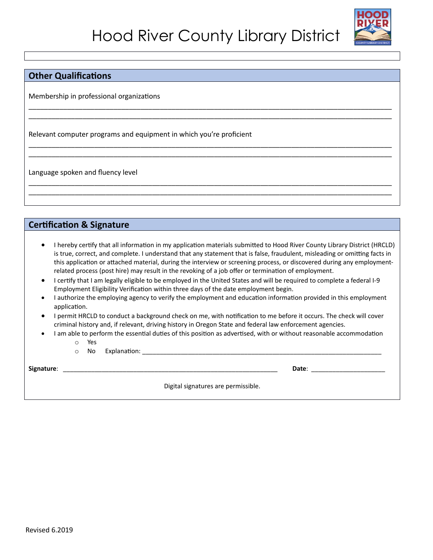\_\_\_\_\_\_\_\_\_\_\_\_\_\_\_\_\_\_\_\_\_\_\_\_\_\_\_\_\_\_\_\_\_\_\_\_\_\_\_\_\_\_\_\_\_\_\_\_\_\_\_\_\_\_\_\_\_\_\_\_\_\_\_\_\_\_\_\_\_\_\_\_\_\_\_\_\_\_\_\_\_\_\_\_\_\_\_\_\_\_\_\_\_\_ \_\_\_\_\_\_\_\_\_\_\_\_\_\_\_\_\_\_\_\_\_\_\_\_\_\_\_\_\_\_\_\_\_\_\_\_\_\_\_\_\_\_\_\_\_\_\_\_\_\_\_\_\_\_\_\_\_\_\_\_\_\_\_\_\_\_\_\_\_\_\_\_\_\_\_\_\_\_\_\_\_\_\_\_\_\_\_\_\_\_\_\_\_\_

\_\_\_\_\_\_\_\_\_\_\_\_\_\_\_\_\_\_\_\_\_\_\_\_\_\_\_\_\_\_\_\_\_\_\_\_\_\_\_\_\_\_\_\_\_\_\_\_\_\_\_\_\_\_\_\_\_\_\_\_\_\_\_\_\_\_\_\_\_\_\_\_\_\_\_\_\_\_\_\_\_\_\_\_\_\_\_\_\_\_\_\_\_\_ \_\_\_\_\_\_\_\_\_\_\_\_\_\_\_\_\_\_\_\_\_\_\_\_\_\_\_\_\_\_\_\_\_\_\_\_\_\_\_\_\_\_\_\_\_\_\_\_\_\_\_\_\_\_\_\_\_\_\_\_\_\_\_\_\_\_\_\_\_\_\_\_\_\_\_\_\_\_\_\_\_\_\_\_\_\_\_\_\_\_\_\_\_\_

\_\_\_\_\_\_\_\_\_\_\_\_\_\_\_\_\_\_\_\_\_\_\_\_\_\_\_\_\_\_\_\_\_\_\_\_\_\_\_\_\_\_\_\_\_\_\_\_\_\_\_\_\_\_\_\_\_\_\_\_\_\_\_\_\_\_\_\_\_\_\_\_\_\_\_\_\_\_\_\_\_\_\_\_\_\_\_\_\_\_\_\_\_\_ \_\_\_\_\_\_\_\_\_\_\_\_\_\_\_\_\_\_\_\_\_\_\_\_\_\_\_\_\_\_\_\_\_\_\_\_\_\_\_\_\_\_\_\_\_\_\_\_\_\_\_\_\_\_\_\_\_\_\_\_\_\_\_\_\_\_\_\_\_\_\_\_\_\_\_\_\_\_\_\_\_\_\_\_\_\_\_\_\_\_\_\_\_\_



#### **Other Qualifications**

Membership in professional organizations

Relevant computer programs and equipment in which you're proficient

Language spoken and fluency level

#### **Certification & Signature**

- I hereby certify that all information in my application materials submitted to Hood River County Library District (HRCLD) is true, correct, and complete. I understand that any statement that is false, fraudulent, misleading or omitting facts in this application or attached material, during the interview or screening process, or discovered during any employmentrelated process (post hire) may result in the revoking of a job offer or termination of employment.
- I certify that I am legally eligible to be employed in the United States and will be required to complete a federal I-9 Employment Eligibility Verification within three days of the date employment begin.
- I authorize the employing agency to verify the employment and education information provided in this employment application.
- I permit HRCLD to conduct a background check on me, with notification to me before it occurs. The check will cover criminal history and, if relevant, driving history in Oregon State and federal law enforcement agencies.
- I am able to perform the essential duties of this position as advertised, with or without reasonable accommodation
	- o Yes
	- $\circ$  No Explanation:  $\circ$  No Explanation:

**Signature**: \_\_\_\_\_\_\_\_\_\_\_\_\_\_\_\_\_\_\_\_\_\_\_\_\_\_\_\_\_\_\_\_\_\_\_\_\_\_\_\_\_\_\_\_\_\_\_\_\_\_\_\_\_\_\_\_\_\_\_\_\_ **Date**: \_\_\_\_\_\_\_\_\_\_\_\_\_\_\_\_\_\_\_\_\_

Digital signatures are permissible.